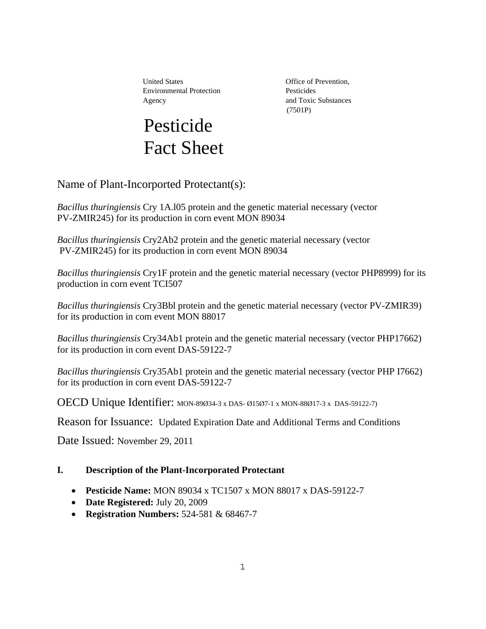United States **Office** of Prevention, Environmental Protection Pesticides Agency and Toxic Substances



(7501P)

Name of Plant-Incorported Protectant(s):

*Bacillus thuringiensis* Cry 1A.l05 protein and the genetic material necessary (vector PV-ZMIR245) for its production in corn event MON 89034

*Bacillus thuringiensis* Cry2Ab2 protein and the genetic material necessary (vector PV-ZMIR245) for its production in corn event MON 89034

*Bacillus thuringiensis* Cry1F protein and the genetic material necessary (vector PHP8999) for its production in corn event TCI507

*Bacillus thuringiensis* Cry3Bbl protein and the genetic material necessary (vector PV-ZMIR39) for its production in com event MON 88017

*Bacillus thuringiensis* Cry34Ab1 protein and the genetic material necessary (vector PHP17662) for its production in corn event DAS-59122-7

*Bacillus thuringiensis* Cry35Ab1 protein and the genetic material necessary (vector PHP I7662) for its production in corn event DAS-59122-7

OECD Unique Identifier: MON-89Ø34-3 x DAS- Ø15Ø7-1 x MON-88Ø17-3 x DAS-59122-7)

 $\overline{a}$ Reason for Issuance: Updated Expiration Date and Additional Terms and Conditions

Date Issued: November 29, 2011

## **I. Description of the Plant-Incorporated Protectant**

- **Pesticide Name:** MON 89034 x TC1507 x MON 88017 x DAS-59122-7
- **Date Registered:** July 20, 2009
- **Registration Numbers:** 524-581 & 68467-7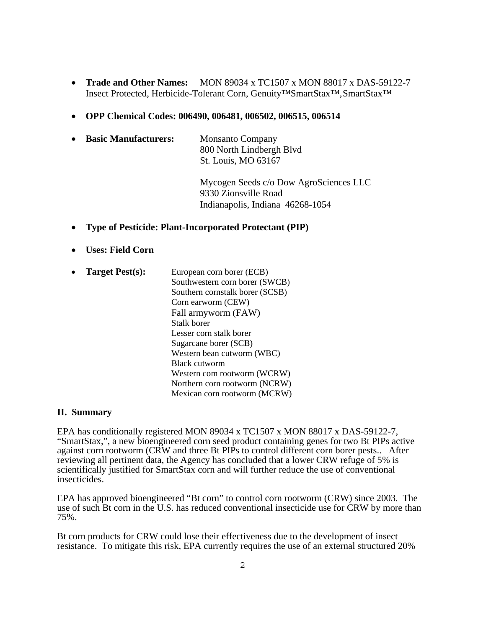- Insect Protected, Herbicide-Tolerant Corn, Genuity™SmartStax™,SmartStax™ **Trade and Other Names:** MON 89034 x TC1507 x MON 88017 x DAS-59122-7
- **OPP Chemical Codes: 006490, 006481, 006502, 006515, 006514**

| $\bullet$ | <b>Basic Manufacturers:</b> | <b>Monsanto Company</b>  |
|-----------|-----------------------------|--------------------------|
|           |                             | 800 North Lindbergh Blvd |
|           |                             | St. Louis, MO 63167      |

Mycogen Seeds c/o Dow AgroSciences LLC 9330 Zionsville Road Indianapolis, Indiana 46268-1054

- **Type of Pesticide: Plant-Incorporated Protectant (PIP)**
- **Uses: Field Corn**
- **Target Pest(s):** European corn borer (ECB)

Southwestern corn borer (SWCB) Southern cornstalk borer (SCSB) Corn earworm (CEW) Fall armyworm (FAW) Stalk borer Lesser corn stalk borer Sugarcane borer (SCB) Western bean cutworm (WBC) Black cutworm Western com rootworm (WCRW) Northern corn rootworm (NCRW) Mexican corn rootworm (MCRW)

#### **II. Summary**

EPA has conditionally registered MON 89034 x TC1507 x MON 88017 x DAS-59122-7, "SmartStax,", a new bioengineered corn seed product containing genes for two Bt PIPs active against corn rootworm (CRW and three Bt PIPs to control different corn borer pests.. After reviewing all pertinent data, the Agency has concluded that a lower CRW refuge of 5% is scientifically justified for SmartStax corn and will further reduce the use of conventional insecticides.

EPA has approved bioengineered "Bt corn" to control corn rootworm (CRW) since 2003. The use of such Bt corn in the U.S. has reduced conventional insecticide use for CRW by more than 75%.

Bt corn products for CRW could lose their effectiveness due to the development of insect resistance. To mitigate this risk, EPA currently requires the use of an external structured 20%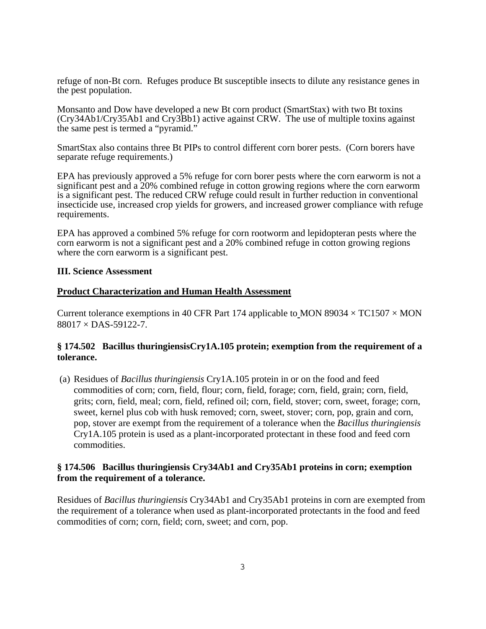refuge of non-Bt corn. Refuges produce Bt susceptible insects to dilute any resistance genes in the pest population.

Monsanto and Dow have developed a new Bt corn product (SmartStax) with two Bt toxins (Cry34Ab1/Cry35Ab1 and Cry3Bb1) active against CRW. The use of multiple toxins against the same pest is termed a "pyramid."

SmartStax also contains three Bt PIPs to control different corn borer pests. (Corn borers have separate refuge requirements.)

EPA has previously approved a 5% refuge for corn borer pests where the corn earworm is not a significant pest and a 20% combined refuge in cotton growing regions where the corn earworm is a significant pest. The reduced CRW refuge could result in further reduction in conventional insecticide use, increased crop yields for growers, and increased grower compliance with refuge requirements.

EPA has approved a combined 5% refuge for corn rootworm and lepidopteran pests where the corn earworm is not a significant pest and a 20% combined refuge in cotton growing regions where the corn earworm is a significant pest.

### **III. Science Assessment**

### **Product Characterization and Human Health Assessment**

Current tolerance exemptions in 40 CFR Part 174 applicable to MON 89034  $\times$  TC1507  $\times$  MON  $88017 \times$  DAS-59122-7.

### **§ 174.502 Bacillus thuringiensisCry1A.105 protein; exemption from the requirement of a tolerance.**

(a) Residues of *Bacillus thuringiensis* Cry1A.105 protein in or on the food and feed commodities of corn; corn, field, flour; corn, field, forage; corn, field, grain; corn, field, grits; corn, field, meal; corn, field, refined oil; corn, field, stover; corn, sweet, forage; corn, sweet, kernel plus cob with husk removed; corn, sweet, stover; corn, pop, grain and corn, pop, stover are exempt from the requirement of a tolerance when the *Bacillus thuringiensis*  Cry1A.105 protein is used as a plant-incorporated protectant in these food and feed corn commodities.

## **§ 174.506 Bacillus thuringiensis Cry34Ab1 and Cry35Ab1 proteins in corn; exemption from the requirement of a tolerance.**

Residues of *Bacillus thuringiensis* Cry34Ab1 and Cry35Ab1 proteins in corn are exempted from the requirement of a tolerance when used as plant-incorporated protectants in the food and feed commodities of corn; corn, field; corn, sweet; and corn, pop.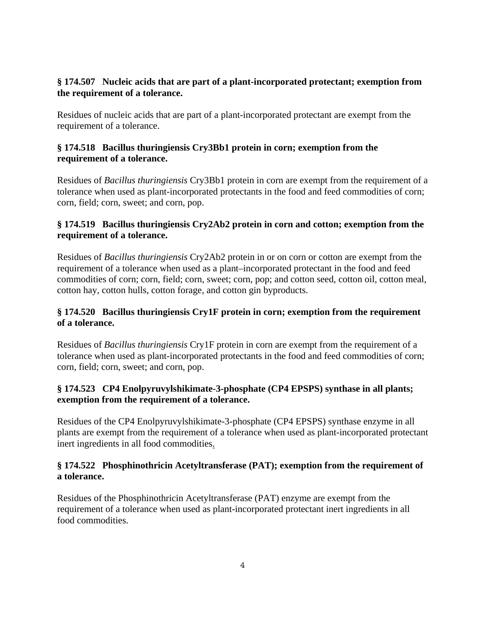## **§ 174.507 Nucleic acids that are part of a plant-incorporated protectant; exemption from the requirement of a tolerance.**

Residues of nucleic acids that are part of a plant-incorporated protectant are exempt from the requirement of a tolerance.

## **§ 174.518 Bacillus thuringiensis Cry3Bb1 protein in corn; exemption from the requirement of a tolerance.**

Residues of *Bacillus thuringiensis* Cry3Bb1 protein in corn are exempt from the requirement of a tolerance when used as plant-incorporated protectants in the food and feed commodities of corn; corn, field; corn, sweet; and corn, pop.

## **§ 174.519 Bacillus thuringiensis Cry2Ab2 protein in corn and cotton; exemption from the requirement of a tolerance.**

Residues of *Bacillus thuringiensis* Cry2Ab2 protein in or on corn or cotton are exempt from the requirement of a tolerance when used as a plant–incorporated protectant in the food and feed commodities of corn; corn, field; corn, sweet; corn, pop; and cotton seed, cotton oil, cotton meal, cotton hay, cotton hulls, cotton forage, and cotton gin byproducts.

# **§ 174.520 Bacillus thuringiensis Cry1F protein in corn; exemption from the requirement of a tolerance.**

Residues of *Bacillus thuringiensis* Cry1F protein in corn are exempt from the requirement of a tolerance when used as plant-incorporated protectants in the food and feed commodities of corn; corn, field; corn, sweet; and corn, pop.

# **§ 174.523 CP4 Enolpyruvylshikimate-3-phosphate (CP4 EPSPS) synthase in all plants; exemption from the requirement of a tolerance.**

Residues of the CP4 Enolpyruvylshikimate-3-phosphate (CP4 EPSPS) synthase enzyme in all plants are exempt from the requirement of a tolerance when used as plant-incorporated protectant inert ingredients in all food commodities.

## **§ 174.522 Phosphinothricin Acetyltransferase (PAT); exemption from the requirement of a tolerance.**

Residues of the Phosphinothricin Acetyltransferase (PAT) enzyme are exempt from the requirement of a tolerance when used as plant-incorporated protectant inert ingredients in all food commodities.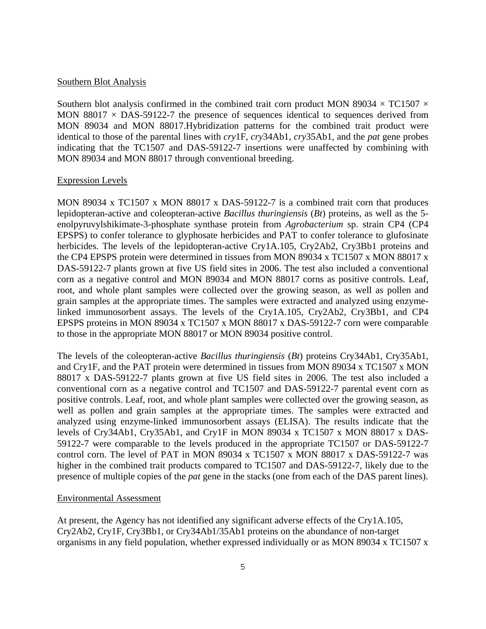#### Southern Blot Analysis

Southern blot analysis confirmed in the combined trait corn product MON 89034  $\times$  TC1507  $\times$ MON 88017  $\times$  DAS-59122-7 the presence of sequences identical to sequences derived from MON 89034 and MON 88017.Hybridization patterns for the combined trait product were identical to those of the parental lines with *cry*1F, *cry*34Ab1*, cry*35Ab1, and the *pat* gene probes indicating that the TC1507 and DAS-59122-7 insertions were unaffected by combining with MON 89034 and MON 88017 through conventional breeding.

#### Expression Levels

MON 89034 x TC1507 x MON 88017 x DAS-59122-7 is a combined trait corn that produces lepidopteran-active and coleopteran-active *Bacillus thuringiensis* (*Bt*) proteins, as well as the 5 enolpyruvylshikimate-3-phosphate synthase protein from *Agrobacterium* sp. strain CP4 (CP4 EPSPS) to confer tolerance to glyphosate herbicides and PAT to confer tolerance to glufosinate herbicides. The levels of the lepidopteran-active Cry1A.105, Cry2Ab2, Cry3Bb1 proteins and the CP4 EPSPS protein were determined in tissues from MON 89034 x TC1507 x MON 88017 x DAS-59122-7 plants grown at five US field sites in 2006. The test also included a conventional corn as a negative control and MON 89034 and MON 88017 corns as positive controls. Leaf, root, and whole plant samples were collected over the growing season, as well as pollen and grain samples at the appropriate times. The samples were extracted and analyzed using enzymelinked immunosorbent assays. The levels of the Cry1A.105, Cry2Ab2, Cry3Bb1, and CP4 EPSPS proteins in MON 89034 x TC1507 x MON 88017 x DAS-59122-7 corn were comparable to those in the appropriate MON 88017 or MON 89034 positive control.

The levels of the coleopteran-active *Bacillus thuringiensis* (*Bt*) proteins Cry34Ab1, Cry35Ab1, and Cry1F, and the PAT protein were determined in tissues from MON 89034 x TC1507 x MON 88017 x DAS-59122-7 plants grown at five US field sites in 2006. The test also included a conventional corn as a negative control and TC1507 and DAS-59122-7 parental event corn as positive controls. Leaf, root, and whole plant samples were collected over the growing season, as well as pollen and grain samples at the appropriate times. The samples were extracted and analyzed using enzyme-linked immunosorbent assays (ELISA). The results indicate that the levels of Cry34Ab1, Cry35Ab1, and Cry1F in MON 89034 x TC1507 x MON 88017 x DAS-59122-7 were comparable to the levels produced in the appropriate TC1507 or DAS-59122-7 control corn. The level of PAT in MON 89034 x TC1507 x MON 88017 x DAS-59122-7 was higher in the combined trait products compared to TC1507 and DAS-59122-7, likely due to the presence of multiple copies of the *pat* gene in the stacks (one from each of the DAS parent lines).

#### Environmental Assessment

At present, the Agency has not identified any significant adverse effects of the Cry1A.105, Cry2Ab2, Cry1F, Cry3Bb1, or Cry34Ab1/35Ab1 proteins on the abundance of non-target organisms in any field population, whether expressed individually or as MON 89034 x TC1507 x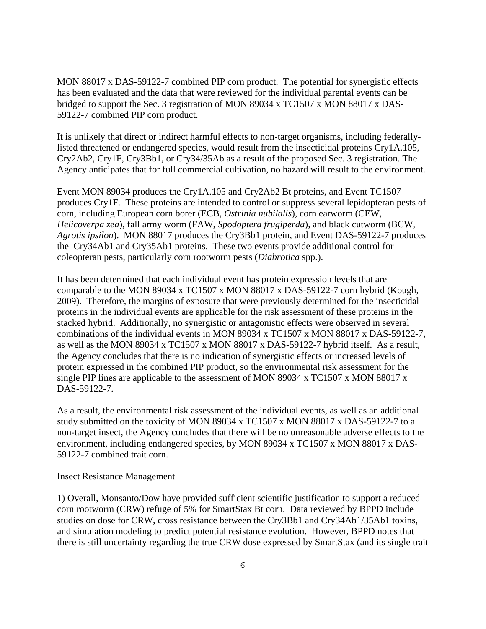MON 88017 x DAS-59122-7 combined PIP corn product. The potential for synergistic effects has been evaluated and the data that were reviewed for the individual parental events can be bridged to support the Sec. 3 registration of MON 89034 x TC1507 x MON 88017 x DAS-59122-7 combined PIP corn product.

It is unlikely that direct or indirect harmful effects to non-target organisms, including federallylisted threatened or endangered species, would result from the insecticidal proteins Cry1A.105, Cry2Ab2, Cry1F, Cry3Bb1, or Cry34/35Ab as a result of the proposed Sec. 3 registration. The Agency anticipates that for full commercial cultivation, no hazard will result to the environment.

Event MON 89034 produces the Cry1A.105 and Cry2Ab2 Bt proteins, and Event TC1507 produces Cry1F. These proteins are intended to control or suppress several lepidopteran pests of corn, including European corn borer (ECB, *Ostrinia nubilalis*), corn earworm (CEW, *Helicoverpa zea*), fall army worm (FAW, *Spodoptera frugiperda*), and black cutworm (BCW, *Agrotis ipsilon*). MON 88017 produces the Cry3Bb1 protein, and Event DAS-59122-7 produces the Cry34Ab1 and Cry35Ab1 proteins. These two events provide additional control for coleopteran pests, particularly corn rootworm pests (*Diabrotica* spp.).

It has been determined that each individual event has protein expression levels that are comparable to the MON 89034 x TC1507 x MON 88017 x DAS-59122-7 corn hybrid (Kough, 2009). Therefore, the margins of exposure that were previously determined for the insecticidal proteins in the individual events are applicable for the risk assessment of these proteins in the stacked hybrid. Additionally, no synergistic or antagonistic effects were observed in several combinations of the individual events in MON 89034 x TC1507 x MON 88017 x DAS-59122-7, as well as the MON 89034 x TC1507 x MON 88017 x DAS-59122-7 hybrid itself. As a result, the Agency concludes that there is no indication of synergistic effects or increased levels of protein expressed in the combined PIP product, so the environmental risk assessment for the single PIP lines are applicable to the assessment of MON 89034 x TC1507 x MON 88017 x DAS-59122-7.

As a result, the environmental risk assessment of the individual events, as well as an additional study submitted on the toxicity of MON 89034 x TC1507 x MON 88017 x DAS-59122-7 to a non-target insect, the Agency concludes that there will be no unreasonable adverse effects to the environment, including endangered species, by MON 89034 x TC1507 x MON 88017 x DAS-59122-7 combined trait corn.

### Insect Resistance Management

1) Overall, Monsanto/Dow have provided sufficient scientific justification to support a reduced corn rootworm (CRW) refuge of 5% for SmartStax Bt corn. Data reviewed by BPPD include studies on dose for CRW, cross resistance between the Cry3Bb1 and Cry34Ab1/35Ab1 toxins, and simulation modeling to predict potential resistance evolution. However, BPPD notes that there is still uncertainty regarding the true CRW dose expressed by SmartStax (and its single trait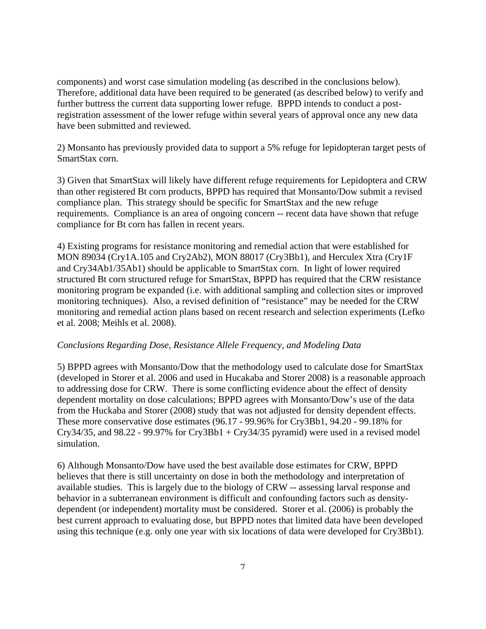components) and worst case simulation modeling (as described in the conclusions below). Therefore, additional data have been required to be generated (as described below) to verify and further buttress the current data supporting lower refuge. BPPD intends to conduct a postregistration assessment of the lower refuge within several years of approval once any new data have been submitted and reviewed.

2) Monsanto has previously provided data to support a 5% refuge for lepidopteran target pests of SmartStax corn.

3) Given that SmartStax will likely have different refuge requirements for Lepidoptera and CRW than other registered Bt corn products, BPPD has required that Monsanto/Dow submit a revised compliance plan. This strategy should be specific for SmartStax and the new refuge requirements. Compliance is an area of ongoing concern -- recent data have shown that refuge compliance for Bt corn has fallen in recent years.

4) Existing programs for resistance monitoring and remedial action that were established for MON 89034 (Cry1A.105 and Cry2Ab2), MON 88017 (Cry3Bb1), and Herculex Xtra (Cry1F and Cry34Ab1/35Ab1) should be applicable to SmartStax corn. In light of lower required structured Bt corn structured refuge for SmartStax, BPPD has required that the CRW resistance monitoring program be expanded (i.e. with additional sampling and collection sites or improved monitoring techniques). Also, a revised definition of "resistance" may be needed for the CRW monitoring and remedial action plans based on recent research and selection experiments (Lefko et al. 2008; Meihls et al. 2008).

### *Conclusions Regarding Dose, Resistance Allele Frequency, and Modeling Data*

5) BPPD agrees with Monsanto/Dow that the methodology used to calculate dose for SmartStax (developed in Storer et al. 2006 and used in Hucakaba and Storer 2008) is a reasonable approach to addressing dose for CRW. There is some conflicting evidence about the effect of density dependent mortality on dose calculations; BPPD agrees with Monsanto/Dow's use of the data from the Huckaba and Storer (2008) study that was not adjusted for density dependent effects. These more conservative dose estimates (96.17 - 99.96% for Cry3Bb1, 94.20 - 99.18% for Cry34/35, and 98.22 - 99.97% for Cry3Bb1 + Cry34/35 pyramid) were used in a revised model simulation.

6) Although Monsanto/Dow have used the best available dose estimates for CRW, BPPD believes that there is still uncertainty on dose in both the methodology and interpretation of available studies. This is largely due to the biology of CRW -- assessing larval response and behavior in a subterranean environment is difficult and confounding factors such as densitydependent (or independent) mortality must be considered. Storer et al. (2006) is probably the best current approach to evaluating dose, but BPPD notes that limited data have been developed using this technique (e.g. only one year with six locations of data were developed for Cry3Bb1).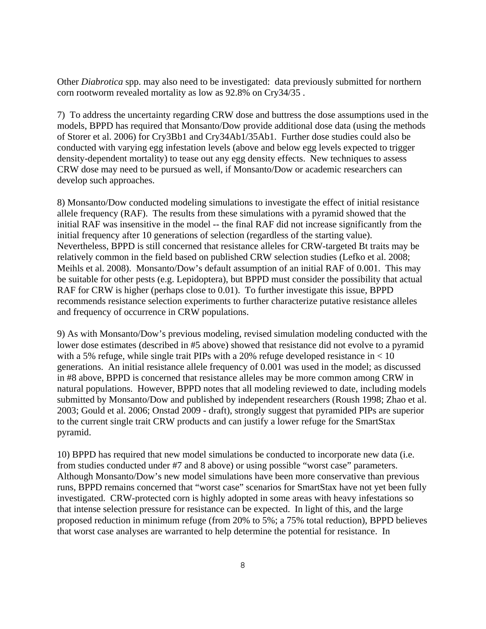Other *Diabrotica* spp. may also need to be investigated: data previously submitted for northern corn rootworm revealed mortality as low as 92.8% on Cry34/35 .

7) To address the uncertainty regarding CRW dose and buttress the dose assumptions used in the models, BPPD has required that Monsanto/Dow provide additional dose data (using the methods of Storer et al. 2006) for Cry3Bb1 and Cry34Ab1/35Ab1. Further dose studies could also be conducted with varying egg infestation levels (above and below egg levels expected to trigger density-dependent mortality) to tease out any egg density effects. New techniques to assess CRW dose may need to be pursued as well, if Monsanto/Dow or academic researchers can develop such approaches.

8) Monsanto/Dow conducted modeling simulations to investigate the effect of initial resistance allele frequency (RAF). The results from these simulations with a pyramid showed that the initial RAF was insensitive in the model -- the final RAF did not increase significantly from the initial frequency after 10 generations of selection (regardless of the starting value). Nevertheless, BPPD is still concerned that resistance alleles for CRW-targeted Bt traits may be relatively common in the field based on published CRW selection studies (Lefko et al. 2008; Meihls et al. 2008). Monsanto/Dow's default assumption of an initial RAF of 0.001. This may be suitable for other pests (e.g. Lepidoptera), but BPPD must consider the possibility that actual RAF for CRW is higher (perhaps close to 0.01). To further investigate this issue, BPPD recommends resistance selection experiments to further characterize putative resistance alleles and frequency of occurrence in CRW populations.

9) As with Monsanto/Dow's previous modeling, revised simulation modeling conducted with the lower dose estimates (described in #5 above) showed that resistance did not evolve to a pyramid with a 5% refuge, while single trait PIPs with a 20% refuge developed resistance in  $< 10$ generations. An initial resistance allele frequency of 0.001 was used in the model; as discussed in #8 above, BPPD is concerned that resistance alleles may be more common among CRW in natural populations. However, BPPD notes that all modeling reviewed to date, including models submitted by Monsanto/Dow and published by independent researchers (Roush 1998; Zhao et al. 2003; Gould et al. 2006; Onstad 2009 - draft), strongly suggest that pyramided PIPs are superior to the current single trait CRW products and can justify a lower refuge for the SmartStax pyramid.

10) BPPD has required that new model simulations be conducted to incorporate new data (i.e. from studies conducted under #7 and 8 above) or using possible "worst case" parameters. Although Monsanto/Dow's new model simulations have been more conservative than previous runs, BPPD remains concerned that "worst case" scenarios for SmartStax have not yet been fully investigated. CRW-protected corn is highly adopted in some areas with heavy infestations so that intense selection pressure for resistance can be expected. In light of this, and the large proposed reduction in minimum refuge (from 20% to 5%; a 75% total reduction), BPPD believes that worst case analyses are warranted to help determine the potential for resistance. In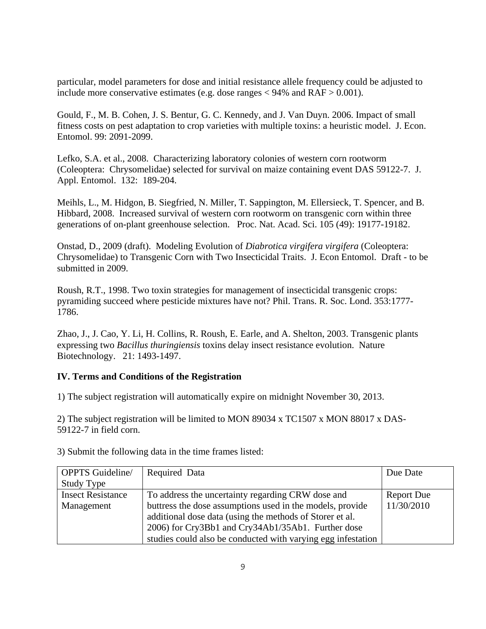particular, model parameters for dose and initial resistance allele frequency could be adjusted to include more conservative estimates (e.g. dose ranges  $< 94\%$  and  $RAF > 0.001$ ).

Gould, F., M. B. Cohen, J. S. Bentur, G. C. Kennedy, and J. Van Duyn. 2006. Impact of small fitness costs on pest adaptation to crop varieties with multiple toxins: a heuristic model. J. Econ. Entomol. 99: 2091-2099.

Lefko, S.A. et al., 2008. Characterizing laboratory colonies of western corn rootworm (Coleoptera: Chrysomelidae) selected for survival on maize containing event DAS 59122-7. J. Appl. Entomol. 132: 189-204.

Meihls, L., M. Hidgon, B. Siegfried, N. Miller, T. Sappington, M. Ellersieck, T. Spencer, and B. Hibbard, 2008. Increased survival of western corn rootworm on transgenic corn within three generations of on-plant greenhouse selection. Proc. Nat. Acad. Sci. 105 (49): 19177-19182.

Onstad, D., 2009 (draft). Modeling Evolution of *Diabrotica virgifera virgifera* (Coleoptera: Chrysomelidae) to Transgenic Corn with Two Insecticidal Traits. J. Econ Entomol. Draft - to be submitted in 2009.

Roush, R.T., 1998. Two toxin strategies for management of insecticidal transgenic crops: pyramiding succeed where pesticide mixtures have not? Phil. Trans. R. Soc. Lond. 353:1777- 1786.

Zhao, J., J. Cao, Y. Li, H. Collins, R. Roush, E. Earle, and A. Shelton, 2003. Transgenic plants expressing two *Bacillus thuringiensis* toxins delay insect resistance evolution. Nature Biotechnology. 21: 1493-1497.

## **IV. Terms and Conditions of the Registration**

1) The subject registration will automatically expire on midnight November 30, 2013.

2) The subject registration will be limited to MON 89034 x TC1507 x MON 88017 x DAS-59122-7 in field corn.

OPPTS Guideline/ Study Type Required Data Due Date Insect Resistance To address the uncertainty regarding CRW dose and Report Due Management buttress the dose assumptions used in the models, provide 11/30/2010 additional dose data (using the methods of Storer et al. 2006) for Cry3Bb1 and Cry34Ab1/35Ab1. Further dose studies could also be conducted with varying egg infestation

3) Submit the following data in the time frames listed: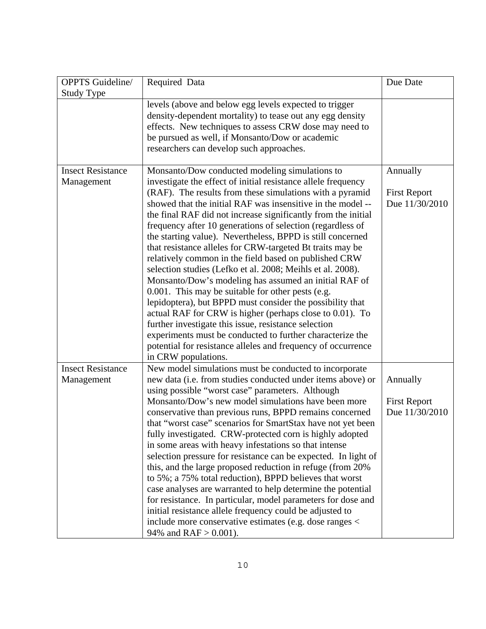| <b>OPPTS</b> Guideline/<br><b>Study Type</b> | Required Data                                                                                                                                                                                                                                                                                                                                                                                                                                                                                                                                                                                                                                                                                                                                                                                                                                                                                                                                                                                                                                                                  | Due Date                                          |
|----------------------------------------------|--------------------------------------------------------------------------------------------------------------------------------------------------------------------------------------------------------------------------------------------------------------------------------------------------------------------------------------------------------------------------------------------------------------------------------------------------------------------------------------------------------------------------------------------------------------------------------------------------------------------------------------------------------------------------------------------------------------------------------------------------------------------------------------------------------------------------------------------------------------------------------------------------------------------------------------------------------------------------------------------------------------------------------------------------------------------------------|---------------------------------------------------|
|                                              | levels (above and below egg levels expected to trigger<br>density-dependent mortality) to tease out any egg density<br>effects. New techniques to assess CRW dose may need to<br>be pursued as well, if Monsanto/Dow or academic<br>researchers can develop such approaches.                                                                                                                                                                                                                                                                                                                                                                                                                                                                                                                                                                                                                                                                                                                                                                                                   |                                                   |
| <b>Insect Resistance</b><br>Management       | Monsanto/Dow conducted modeling simulations to<br>investigate the effect of initial resistance allele frequency<br>(RAF). The results from these simulations with a pyramid<br>showed that the initial RAF was insensitive in the model --<br>the final RAF did not increase significantly from the initial<br>frequency after 10 generations of selection (regardless of<br>the starting value). Nevertheless, BPPD is still concerned<br>that resistance alleles for CRW-targeted Bt traits may be<br>relatively common in the field based on published CRW<br>selection studies (Lefko et al. 2008; Meihls et al. 2008).<br>Monsanto/Dow's modeling has assumed an initial RAF of<br>0.001. This may be suitable for other pests (e.g.<br>lepidoptera), but BPPD must consider the possibility that<br>actual RAF for CRW is higher (perhaps close to 0.01). To<br>further investigate this issue, resistance selection<br>experiments must be conducted to further characterize the<br>potential for resistance alleles and frequency of occurrence<br>in CRW populations. | Annually<br><b>First Report</b><br>Due 11/30/2010 |
| <b>Insect Resistance</b><br>Management       | New model simulations must be conducted to incorporate<br>new data (i.e. from studies conducted under items above) or<br>using possible "worst case" parameters. Although<br>Monsanto/Dow's new model simulations have been more<br>conservative than previous runs, BPPD remains concerned<br>that "worst case" scenarios for SmartStax have not yet been<br>fully investigated. CRW-protected corn is highly adopted<br>in some areas with heavy infestations so that intense<br>selection pressure for resistance can be expected. In light of<br>this, and the large proposed reduction in refuge (from 20%)<br>to 5%; a 75% total reduction), BPPD believes that worst<br>case analyses are warranted to help determine the potential<br>for resistance. In particular, model parameters for dose and<br>initial resistance allele frequency could be adjusted to<br>include more conservative estimates (e.g. dose ranges <<br>94% and $RAF > 0.001$ ).                                                                                                                  | Annually<br><b>First Report</b><br>Due 11/30/2010 |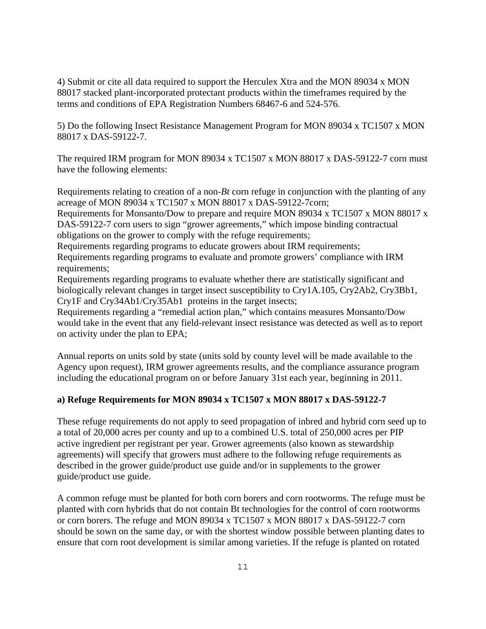4) Submit or cite all data required to support the Herculex Xtra and the MON 89034 x MON 88017 stacked plant-incorporated protectant products within the timeframes required by the terms and conditions of EPA Registration Numbers 68467-6 and 524-576.

5) Do the following Insect Resistance Management Program for MON 89034 x TC1507 x MON 88017 x DAS-59122-7.

The required IRM program for MON 89034 x TC1507 x MON 88017 x DAS-59122-7 corn must have the following elements:

Requirements relating to creation of a non-*Bt* corn refuge in conjunction with the planting of any acreage of MON 89034 x TC1507 x MON 88017 x DAS-59122-7corn;

Requirements for Monsanto/Dow to prepare and require MON 89034 x TC1507 x MON 88017 x DAS-59122-7 corn users to sign "grower agreements," which impose binding contractual obligations on the grower to comply with the refuge requirements;

Requirements regarding programs to educate growers about IRM requirements;

Requirements regarding programs to evaluate and promote growers' compliance with IRM requirements;

Requirements regarding programs to evaluate whether there are statistically significant and biologically relevant changes in target insect susceptibility to Cry1A.105, Cry2Ab2, Cry3Bb1, Cry1F and Cry34Ab1/Cry35Ab1 proteins in the target insects;

Requirements regarding a "remedial action plan," which contains measures Monsanto/Dow would take in the event that any field-relevant insect resistance was detected as well as to report on activity under the plan to EPA;

Annual reports on units sold by state (units sold by county level will be made available to the Agency upon request), IRM grower agreements results, and the compliance assurance program including the educational program on or before January 31st each year, beginning in 2011.

## **a) Refuge Requirements for MON 89034 x TC1507 x MON 88017 x DAS-59122-7**

These refuge requirements do not apply to seed propagation of inbred and hybrid corn seed up to a total of 20,000 acres per county and up to a combined U.S. total of 250,000 acres per PIP active ingredient per registrant per year. Grower agreements (also known as stewardship agreements) will specify that growers must adhere to the following refuge requirements as described in the grower guide/product use guide and/or in supplements to the grower guide/product use guide.

A common refuge must be planted for both corn borers and corn rootworms. The refuge must be planted with corn hybrids that do not contain Bt technologies for the control of corn rootworms or corn borers. The refuge and MON 89034 x TC1507 x MON 88017 x DAS-59122-7 corn should be sown on the same day, or with the shortest window possible between planting dates to ensure that corn root development is similar among varieties. If the refuge is planted on rotated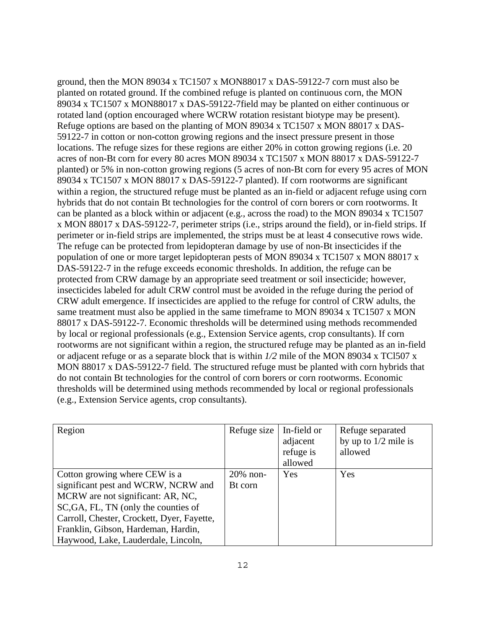ground, then the MON 89034 x TC1507 x MON88017 x DAS-59122-7 corn must also be planted on rotated ground. If the combined refuge is planted on continuous corn, the MON 89034 x TC1507 x MON88017 x DAS-59122-7field may be planted on either continuous or rotated land (option encouraged where WCRW rotation resistant biotype may be present). Refuge options are based on the planting of MON 89034 x TC1507 x MON 88017 x DAS-59122-7 in cotton or non-cotton growing regions and the insect pressure present in those locations. The refuge sizes for these regions are either 20% in cotton growing regions (i.e. 20 acres of non-Bt corn for every 80 acres MON 89034 x TC1507 x MON 88017 x DAS-59122-7 planted) or 5% in non-cotton growing regions (5 acres of non-Bt corn for every 95 acres of MON 89034 x TC1507 x MON 88017 x DAS-59122-7 planted). If corn rootworms are significant within a region, the structured refuge must be planted as an in-field or adjacent refuge using corn hybrids that do not contain Bt technologies for the control of corn borers or corn rootworms. It can be planted as a block within or adjacent (e.g., across the road) to the MON 89034 x TC1507 x MON 88017 x DAS-59122-7, perimeter strips (i.e., strips around the field), or in-field strips. If perimeter or in-field strips are implemented, the strips must be at least 4 consecutive rows wide. The refuge can be protected from lepidopteran damage by use of non-Bt insecticides if the population of one or more target lepidopteran pests of MON 89034 x TC1507 x MON 88017 x DAS-59122-7 in the refuge exceeds economic thresholds. In addition, the refuge can be protected from CRW damage by an appropriate seed treatment or soil insecticide; however, insecticides labeled for adult CRW control must be avoided in the refuge during the period of CRW adult emergence. If insecticides are applied to the refuge for control of CRW adults, the same treatment must also be applied in the same timeframe to MON 89034 x TC1507 x MON 88017 x DAS-59122-7. Economic thresholds will be determined using methods recommended by local or regional professionals (e.g., Extension Service agents, crop consultants). If corn rootworms are not significant within a region, the structured refuge may be planted as an in-field or adjacent refuge or as a separate block that is within *1/2* mile of the MON 89034 x TCl507 x MON 88017 x DAS-59122-7 field. The structured refuge must be planted with corn hybrids that do not contain Bt technologies for the control of corn borers or corn rootworms. Economic thresholds will be determined using methods recommended by local or regional professionals (e.g., Extension Service agents, crop consultants).

| Region                                     | Refuge size | In-field or<br>adjacent<br>refuge is<br>allowed | Refuge separated<br>by up to $1/2$ mile is<br>allowed |
|--------------------------------------------|-------------|-------------------------------------------------|-------------------------------------------------------|
| Cotton growing where CEW is a              | $20\%$ non- | Yes                                             | Yes                                                   |
| significant pest and WCRW, NCRW and        | Bt corn     |                                                 |                                                       |
| MCRW are not significant: AR, NC,          |             |                                                 |                                                       |
| SC, GA, FL, TN (only the counties of       |             |                                                 |                                                       |
| Carroll, Chester, Crockett, Dyer, Fayette, |             |                                                 |                                                       |
| Franklin, Gibson, Hardeman, Hardin,        |             |                                                 |                                                       |
| Haywood, Lake, Lauderdale, Lincoln,        |             |                                                 |                                                       |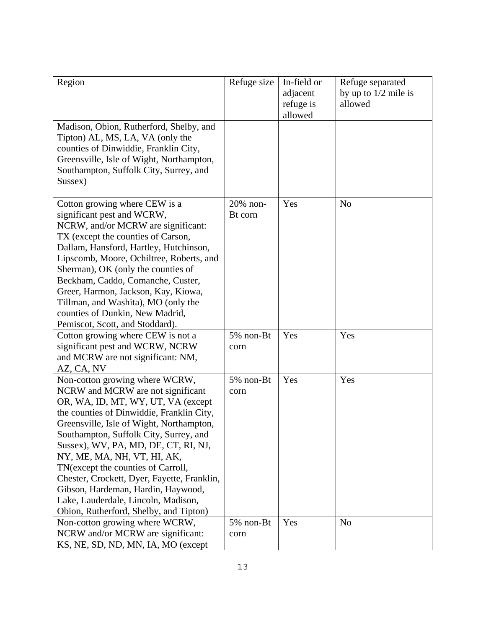| Region                                                                                                                                                                                                                                                                                                                                                                                                                                                                                                                          | Refuge size         | In-field or<br>adjacent<br>refuge is<br>allowed | Refuge separated<br>by up to $1/2$ mile is<br>allowed |
|---------------------------------------------------------------------------------------------------------------------------------------------------------------------------------------------------------------------------------------------------------------------------------------------------------------------------------------------------------------------------------------------------------------------------------------------------------------------------------------------------------------------------------|---------------------|-------------------------------------------------|-------------------------------------------------------|
| Madison, Obion, Rutherford, Shelby, and<br>Tipton) AL, MS, LA, VA (only the<br>counties of Dinwiddie, Franklin City,<br>Greensville, Isle of Wight, Northampton,<br>Southampton, Suffolk City, Surrey, and<br>Sussex)                                                                                                                                                                                                                                                                                                           |                     |                                                 |                                                       |
| Cotton growing where CEW is a<br>significant pest and WCRW,<br>NCRW, and/or MCRW are significant:<br>TX (except the counties of Carson,<br>Dallam, Hansford, Hartley, Hutchinson,<br>Lipscomb, Moore, Ochiltree, Roberts, and<br>Sherman), OK (only the counties of<br>Beckham, Caddo, Comanche, Custer,<br>Greer, Harmon, Jackson, Kay, Kiowa,<br>Tillman, and Washita), MO (only the<br>counties of Dunkin, New Madrid,<br>Pemiscot, Scott, and Stoddard).                                                                    | 20% non-<br>Bt corn | Yes                                             | N <sub>o</sub>                                        |
| Cotton growing where CEW is not a<br>significant pest and WCRW, NCRW<br>and MCRW are not significant: NM,<br>AZ, CA, NV                                                                                                                                                                                                                                                                                                                                                                                                         | 5% non-Bt<br>corn   | Yes                                             | Yes                                                   |
| Non-cotton growing where WCRW,<br>NCRW and MCRW are not significant<br>OR, WA, ID, MT, WY, UT, VA (except<br>the counties of Dinwiddie, Franklin City,<br>Greensville, Isle of Wight, Northampton,<br>Southampton, Suffolk City, Surrey, and<br>Sussex), WV, PA, MD, DE, CT, RI, NJ,<br>NY, ME, MA, NH, VT, HI, AK,<br>TN(except the counties of Carroll,<br>Chester, Crockett, Dyer, Fayette, Franklin,<br>Gibson, Hardeman, Hardin, Haywood,<br>Lake, Lauderdale, Lincoln, Madison,<br>Obion, Rutherford, Shelby, and Tipton) | 5% non-Bt<br>corn   | Yes                                             | Yes                                                   |
| Non-cotton growing where WCRW,<br>NCRW and/or MCRW are significant:<br>KS, NE, SD, ND, MN, IA, MO (except                                                                                                                                                                                                                                                                                                                                                                                                                       | 5% non-Bt<br>corn   | Yes                                             | N <sub>o</sub>                                        |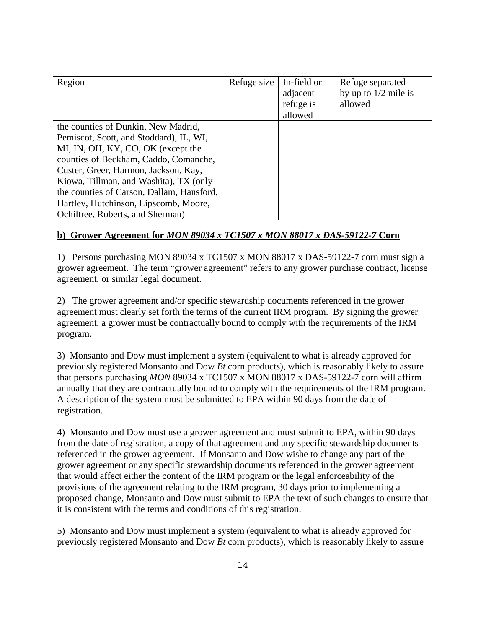| Region                                    | Refuge size | In-field or | Refuge separated       |
|-------------------------------------------|-------------|-------------|------------------------|
|                                           |             | adjacent    | by up to $1/2$ mile is |
|                                           |             | refuge is   | allowed                |
|                                           |             | allowed     |                        |
| the counties of Dunkin, New Madrid,       |             |             |                        |
| Pemiscot, Scott, and Stoddard), IL, WI,   |             |             |                        |
| MI, IN, OH, KY, CO, OK (except the        |             |             |                        |
| counties of Beckham, Caddo, Comanche,     |             |             |                        |
| Custer, Greer, Harmon, Jackson, Kay,      |             |             |                        |
| Kiowa, Tillman, and Washita), TX (only    |             |             |                        |
| the counties of Carson, Dallam, Hansford, |             |             |                        |
| Hartley, Hutchinson, Lipscomb, Moore,     |             |             |                        |
| Ochiltree, Roberts, and Sherman)          |             |             |                        |

# **b) Grower Agreement for** *MON 89034 x TC1507 x MON 88017 x DAS-59122-7* **Corn**

1) Persons purchasing MON 89034 x TC1507 x MON 88017 x DAS-59122-7 corn must sign a grower agreement. The term "grower agreement" refers to any grower purchase contract, license agreement, or similar legal document.

2) The grower agreement and/or specific stewardship documents referenced in the grower agreement must clearly set forth the terms of the current IRM program. By signing the grower agreement, a grower must be contractually bound to comply with the requirements of the IRM program.

3) Monsanto and Dow must implement a system (equivalent to what is already approved for previously registered Monsanto and Dow *Bt* corn products), which is reasonably likely to assure that persons purchasing *MON* 89034 x TC1507 x MON 88017 x DAS-59122-7 corn will affirm annually that they are contractually bound to comply with the requirements of the IRM program. A description of the system must be submitted to EPA within 90 days from the date of registration.

4) Monsanto and Dow must use a grower agreement and must submit to EPA, within 90 days from the date of registration, a copy of that agreement and any specific stewardship documents referenced in the grower agreement. If Monsanto and Dow wishe to change any part of the grower agreement or any specific stewardship documents referenced in the grower agreement that would affect either the content of the IRM program or the legal enforceability of the provisions of the agreement relating to the IRM program, 30 days prior to implementing a proposed change, Monsanto and Dow must submit to EPA the text of such changes to ensure that it is consistent with the terms and conditions of this registration.

5) Monsanto and Dow must implement a system (equivalent to what is already approved for previously registered Monsanto and Dow *Bt* corn products), which is reasonably likely to assure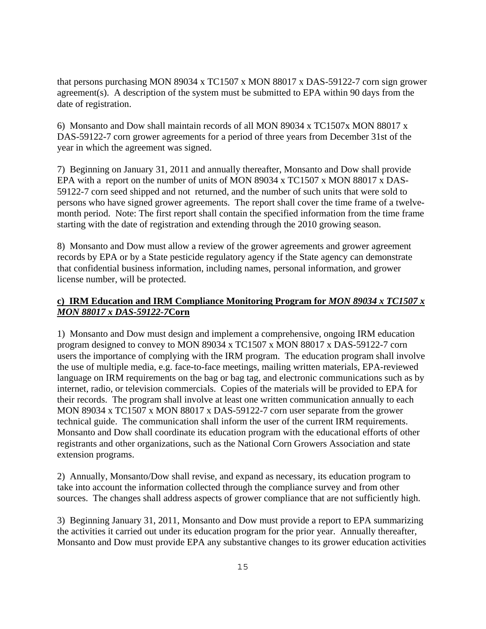that persons purchasing MON 89034 x TC1507 x MON 88017 x DAS-59122-7 corn sign grower agreement(s). A description of the system must be submitted to EPA within 90 days from the date of registration.

6) Monsanto and Dow shall maintain records of all MON 89034 x TC1507x MON 88017 x DAS-59122-7 corn grower agreements for a period of three years from December 31st of the year in which the agreement was signed.

7) Beginning on January 31, 2011 and annually thereafter, Monsanto and Dow shall provide EPA with a report on the number of units of MON 89034 x TC1507 x MON 88017 x DAS-59122-7 corn seed shipped and not returned, and the number of such units that were sold to persons who have signed grower agreements. The report shall cover the time frame of a twelvemonth period. Note: The first report shall contain the specified information from the time frame starting with the date of registration and extending through the 2010 growing season.

8) Monsanto and Dow must allow a review of the grower agreements and grower agreement records by EPA or by a State pesticide regulatory agency if the State agency can demonstrate that confidential business information, including names, personal information, and grower license number, will be protected.

## **c) IRM Education and IRM Compliance Monitoring Program for** *MON 89034 x TC1507 x MON 88017 x DAS-59122-7***Corn**

1) Monsanto and Dow must design and implement a comprehensive, ongoing IRM education program designed to convey to MON 89034 x TC1507 x MON 88017 x DAS-59122-7 corn users the importance of complying with the IRM program. The education program shall involve the use of multiple media, e.g. face-to-face meetings, mailing written materials, EPA-reviewed language on IRM requirements on the bag or bag tag, and electronic communications such as by internet, radio, or television commercials. Copies of the materials will be provided to EPA for their records. The program shall involve at least one written communication annually to each MON 89034 x TC1507 x MON 88017 x DAS-59122-7 corn user separate from the grower technical guide. The communication shall inform the user of the current IRM requirements. Monsanto and Dow shall coordinate its education program with the educational efforts of other registrants and other organizations, such as the National Corn Growers Association and state extension programs.

2) Annually, Monsanto/Dow shall revise, and expand as necessary, its education program to take into account the information collected through the compliance survey and from other sources. The changes shall address aspects of grower compliance that are not sufficiently high.

3) Beginning January 31, 2011, Monsanto and Dow must provide a report to EPA summarizing the activities it carried out under its education program for the prior year. Annually thereafter, Monsanto and Dow must provide EPA any substantive changes to its grower education activities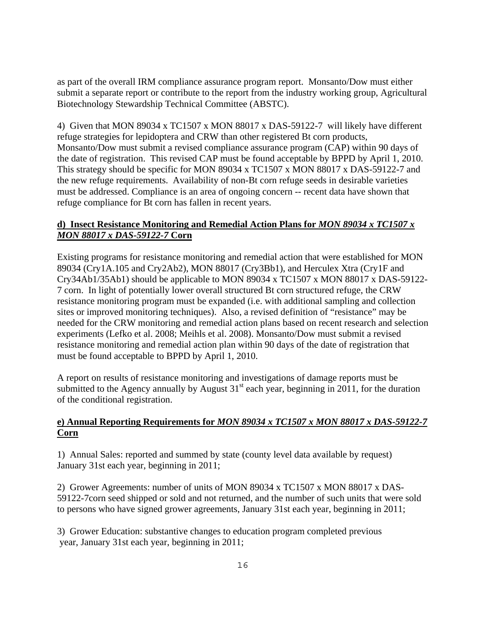as part of the overall IRM compliance assurance program report. Monsanto/Dow must either submit a separate report or contribute to the report from the industry working group, Agricultural Biotechnology Stewardship Technical Committee (ABSTC).

4) Given that MON 89034 x TC1507 x MON 88017 x DAS-59122-7 will likely have different refuge strategies for lepidoptera and CRW than other registered Bt corn products, Monsanto/Dow must submit a revised compliance assurance program (CAP) within 90 days of the date of registration. This revised CAP must be found acceptable by BPPD by April 1, 2010. This strategy should be specific for MON 89034 x TC1507 x MON 88017 x DAS-59122-7 and the new refuge requirements. Availability of non-Bt corn refuge seeds in desirable varieties must be addressed. Compliance is an area of ongoing concern -- recent data have shown that refuge compliance for Bt corn has fallen in recent years.

# *MON 88017 x DAS-59122-7* **Corn d) Insect Resistance Monitoring and Remedial Action Plans for** *MON 89034 x TC1507 x*

Existing programs for resistance monitoring and remedial action that were established for MON 89034 (Cry1A.105 and Cry2Ab2), MON 88017 (Cry3Bb1), and Herculex Xtra (Cry1F and Cry34Ab1/35Ab1) should be applicable to MON 89034 x TC1507 x MON 88017 x DAS-59122 7 corn. In light of potentially lower overall structured Bt corn structured refuge, the CRW resistance monitoring program must be expanded (i.e. with additional sampling and collection sites or improved monitoring techniques). Also, a revised definition of "resistance" may be needed for the CRW monitoring and remedial action plans based on recent research and selection experiments (Lefko et al. 2008; Meihls et al. 2008). Monsanto/Dow must submit a revised resistance monitoring and remedial action plan within 90 days of the date of registration that must be found acceptable to BPPD by April 1, 2010.

A report on results of resistance monitoring and investigations of damage reports must be submitted to the Agency annually by August  $31<sup>st</sup>$  each year, beginning in 2011, for the duration of the conditional registration.

# **e) Annual Reporting Requirements for** *MON 89034 x TC1507 x MON 88017 x DAS-59122-7*  **Corn**

1) Annual Sales: reported and summed by state (county level data available by request) January 31st each year, beginning in 2011;

2) Grower Agreements: number of units of MON 89034 x TC1507 x MON 88017 x DAS-59122-7corn seed shipped or sold and not returned, and the number of such units that were sold to persons who have signed grower agreements, January 31st each year, beginning in 2011;

3) Grower Education: substantive changes to education program completed previous year, January 31st each year, beginning in 2011;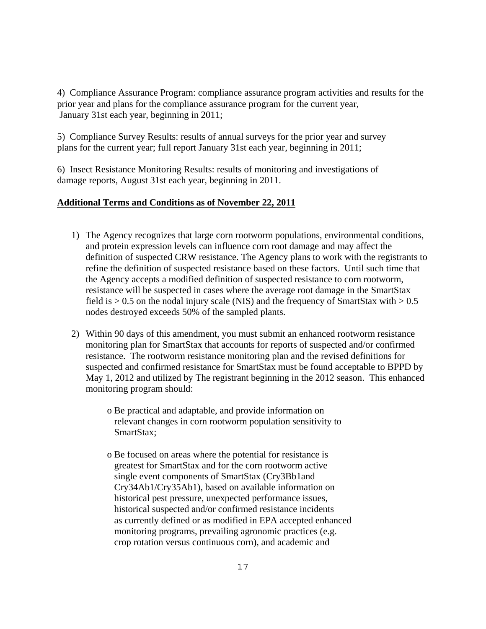4) Compliance Assurance Program: compliance assurance program activities and results for the prior year and plans for the compliance assurance program for the current year, January 31st each year, beginning in 2011;

5) Compliance Survey Results: results of annual surveys for the prior year and survey plans for the current year; full report January 31st each year, beginning in 2011;

6) Insect Resistance Monitoring Results: results of monitoring and investigations of damage reports, August 31st each year, beginning in 2011.

## **Additional Terms and Conditions as of November 22, 2011**

- 1) The Agency recognizes that large corn rootworm populations, environmental conditions, and protein expression levels can influence corn root damage and may affect the definition of suspected CRW resistance. The Agency plans to work with the registrants to refine the definition of suspected resistance based on these factors. Until such time that the Agency accepts a modified definition of suspected resistance to corn rootworm, resistance will be suspected in cases where the average root damage in the SmartStax field is  $> 0.5$  on the nodal injury scale (NIS) and the frequency of SmartStax with  $> 0.5$ nodes destroyed exceeds 50% of the sampled plants.
- 2) Within 90 days of this amendment, you must submit an enhanced rootworm resistance monitoring plan for SmartStax that accounts for reports of suspected and/or confirmed resistance. The rootworm resistance monitoring plan and the revised definitions for suspected and confirmed resistance for SmartStax must be found acceptable to BPPD by May 1, 2012 and utilized by The registrant beginning in the 2012 season. This enhanced monitoring program should:

 o Be practical and adaptable, and provide information on relevant changes in corn rootworm population sensitivity to SmartStax;

 o Be focused on areas where the potential for resistance is greatest for SmartStax and for the corn rootworm active single event components of SmartStax (Cry3Bb1and Cry34Ab1/Cry35Ab1), based on available information on historical pest pressure, unexpected performance issues, historical suspected and/or confirmed resistance incidents as currently defined or as modified in EPA accepted enhanced monitoring programs, prevailing agronomic practices (e.g. crop rotation versus continuous corn), and academic and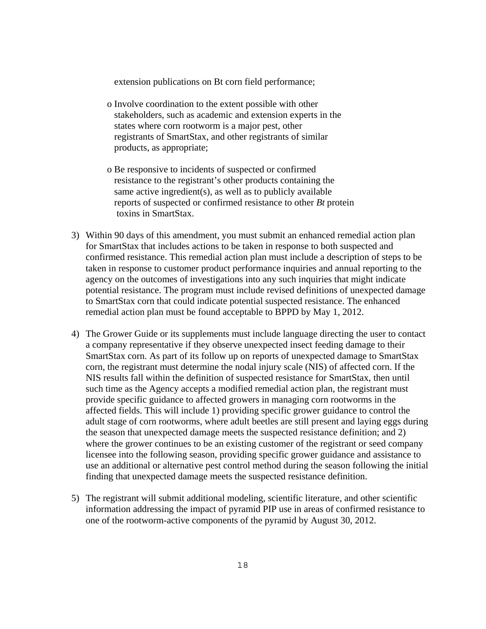extension publications on Bt corn field performance;

- o Involve coordination to the extent possible with other stakeholders, such as academic and extension experts in the states where corn rootworm is a major pest, other registrants of SmartStax, and other registrants of similar products, as appropriate;
- o Be responsive to incidents of suspected or confirmed resistance to the registrant's other products containing the same active ingredient(s), as well as to publicly available reports of suspected or confirmed resistance to other *Bt* protein toxins in SmartStax.
- 3) Within 90 days of this amendment, you must submit an enhanced remedial action plan for SmartStax that includes actions to be taken in response to both suspected and confirmed resistance. This remedial action plan must include a description of steps to be taken in response to customer product performance inquiries and annual reporting to the agency on the outcomes of investigations into any such inquiries that might indicate potential resistance. The program must include revised definitions of unexpected damage to SmartStax corn that could indicate potential suspected resistance. The enhanced remedial action plan must be found acceptable to BPPD by May 1, 2012.
- 4) The Grower Guide or its supplements must include language directing the user to contact a company representative if they observe unexpected insect feeding damage to their SmartStax corn. As part of its follow up on reports of unexpected damage to SmartStax corn, the registrant must determine the nodal injury scale (NIS) of affected corn. If the NIS results fall within the definition of suspected resistance for SmartStax, then until such time as the Agency accepts a modified remedial action plan, the registrant must provide specific guidance to affected growers in managing corn rootworms in the affected fields. This will include 1) providing specific grower guidance to control the adult stage of corn rootworms, where adult beetles are still present and laying eggs during the season that unexpected damage meets the suspected resistance definition; and 2) where the grower continues to be an existing customer of the registrant or seed company licensee into the following season, providing specific grower guidance and assistance to use an additional or alternative pest control method during the season following the initial finding that unexpected damage meets the suspected resistance definition.
- 5) The registrant will submit additional modeling, scientific literature, and other scientific information addressing the impact of pyramid PIP use in areas of confirmed resistance to one of the rootworm-active components of the pyramid by August 30, 2012.